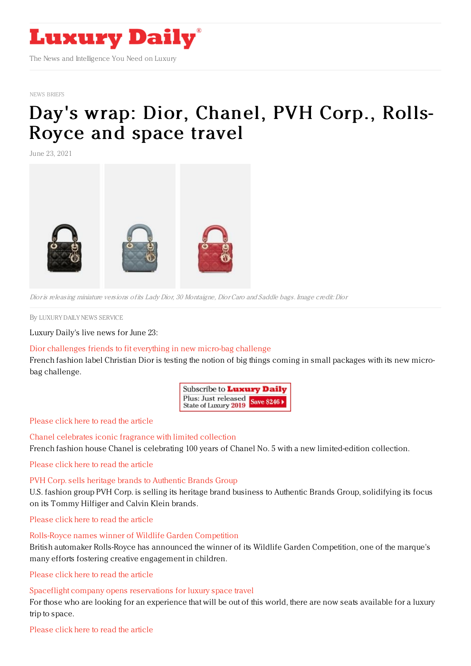

#### NEWS [BRIEFS](https://www.luxurydaily.com/category/resources/news-briefs/)

# Day's wrap: Dior, [Chanel,](https://www.luxurydaily.com/?p=331576) PVH Corp., Rolls-Royce and space travel

June 23, 2021



Dior is releasing miniature versions of its Lady Dior, 30 Montaigne, Dior Caro and Saddle bags. Image credit: Dior

By LUXURY DAILY NEWS [SERVICE](file:///author/luxury-daily-news-service)

Luxury Daily's live news for June 23:

# Dior [challenges](https://www.luxurydaily.com/dior-micro-bag/) friends to fit everything in new micro-bag challenge

French fashion label Christian Dior is testing the notion of big things coming in small packages with its new microbag challenge.

| Subscribe to <b>Luxury Daily</b>                       |  |
|--------------------------------------------------------|--|
| Plus: Just released Save \$246<br>State of Luxury 2019 |  |

# [Please](https://www.luxurydaily.com/dior-micro-bag/) click here to read the article

Chanel [celebrates](https://www.luxurydaily.com/chanel-factory-5/) iconic fragrance with limited collection French fashion house Chanel is celebrating 100 years of Chanel No. 5 with a new limited-edition collection.

[Please](https://www.luxurydaily.com/chanel-factory-5/) click here to read the article

# PVH Corp. sells heritage brands to [Authentic](https://www.luxurydaily.com/pvh-corp-sells-heritage-brands-to-authentic-brands-group/) Brands Group

U.S. fashion group PVH Corp. is selling its heritage brand business to Authentic Brands Group, solidifying its focus on its Tommy Hilfiger and Calvin Klein brands.

[Please](https://www.luxurydaily.com/pvh-corp-sells-heritage-brands-to-authentic-brands-group/) click here to read the article

### Rolls-Royce names winner of Wildlife Garden [Competition](https://www.luxurydaily.com/rolls-royce-wildlife-garden-competition/)

British automaker Rolls-Royce has announced the winner of its Wildlife Garden Competition, one of the marque's many efforts fostering creative engagement in children.

[Please](https://www.luxurydaily.com/rolls-royce-wildlife-garden-competition/) click here to read the article

# Spaceflight company opens [reservations](https://www.luxurydaily.com/space-perspective-flights//) for luxury space travel

For those who are looking for an experience that will be out of this world, there are now seats available for a luxury trip to space.

### [Please](https://www.luxurydaily.com/space-perspective-flights/) click here to read the article